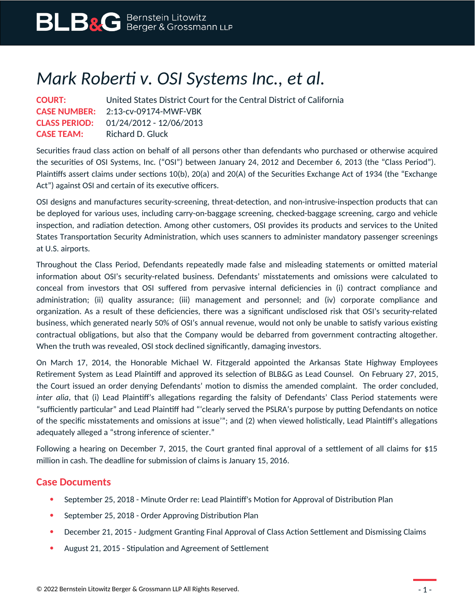## *Mark Roberti v. OSI Systems Inc., et al.*

| <b>COURT:</b>     | United States District Court for the Central District of California |
|-------------------|---------------------------------------------------------------------|
|                   | <b>CASE NUMBER:</b> 2:13-cv-09174-MWF-VBK                           |
|                   | <b>CLASS PERIOD:</b> $01/24/2012 - 12/06/2013$                      |
| <b>CASE TEAM:</b> | Richard D. Gluck                                                    |

Securities fraud class action on behalf of all persons other than defendants who purchased or otherwise acquired the securities of OSI Systems, Inc. ("OSI") between January 24, 2012 and December 6, 2013 (the "Class Period"). Plaintiffs assert claims under sections 10(b), 20(a) and 20(A) of the Securities Exchange Act of 1934 (the "Exchange Act") against OSI and certain of its executive officers.

OSI designs and manufactures security-screening, threat-detection, and non-intrusive-inspection products that can be deployed for various uses, including carry-on-baggage screening, checked-baggage screening, cargo and vehicle inspection, and radiation detection. Among other customers, OSI provides its products and services to the United States Transportation Security Administration, which uses scanners to administer mandatory passenger screenings at U.S. airports.

Throughout the Class Period, Defendants repeatedly made false and misleading statements or omitted material information about OSI's security-related business. Defendants' misstatements and omissions were calculated to conceal from investors that OSI suffered from pervasive internal deficiencies in (i) contract compliance and administration; (ii) quality assurance; (iii) management and personnel; and (iv) corporate compliance and organization. As a result of these deficiencies, there was a significant undisclosed risk that OSI's security-related business, which generated nearly 50% of OSI's annual revenue, would not only be unable to satisfy various existing contractual obligations, but also that the Company would be debarred from government contracting altogether. When the truth was revealed, OSI stock declined significantly, damaging investors.

On March 17, 2014, the Honorable Michael W. Fitzgerald appointed the Arkansas State Highway Employees Retirement System as Lead Plaintiff and approved its selection of BLB&G as Lead Counsel. On February 27, 2015, the Court issued an order denying Defendants' motion to dismiss the amended complaint. The order concluded, *inter alia*, that (i) Lead Plaintiff's allegations regarding the falsity of Defendants' Class Period statements were "sufficiently particular" and Lead Plaintiff had "'clearly served the PSLRA's purpose by putting Defendants on notice of the specific misstatements and omissions at issue'"; and (2) when viewed holistically, Lead Plaintiff's allegations adequately alleged a "strong inference of scienter."

Following a hearing on December 7, 2015, the Court granted final approval of a settlement of all claims for \$15 million in cash. The deadline for submission of claims is January 15, 2016.

## **Case Documents**

- September 25, 2018 Minute Order re: Lead Plaintiff's Motion for Approval of Distribution Plan
- September 25, 2018 Order Approving Distribution Plan
- December 21, 2015 Judgment Granting Final Approval of Class Action Settlement and Dismissing Claims
- August 21, 2015 Stipulation and Agreement of Settlement